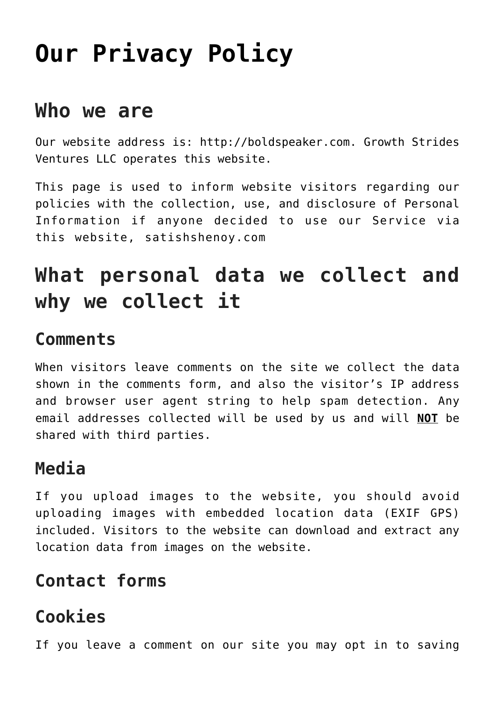# **[Our Privacy Policy](https://boldspeaker.com/our-privacy-policy/)**

### **Who we are**

Our website address is: http://boldspeaker.com. Growth Strides Ventures LLC operates this website.

This page is used to inform website visitors regarding our policies with the collection, use, and disclosure of Personal Information if anyone decided to use our Service via this website, satishshenoy.com

# **What personal data we collect and why we collect it**

#### **Comments**

When visitors leave comments on the site we collect the data shown in the comments form, and also the visitor's IP address and browser user agent string to help spam detection. Any email addresses collected will be used by us and will **NOT** be shared with third parties.

#### **Media**

If you upload images to the website, you should avoid uploading images with embedded location data (EXIF GPS) included. Visitors to the website can download and extract any location data from images on the website.

#### **Contact forms**

#### **Cookies**

If you leave a comment on our site you may opt in to saving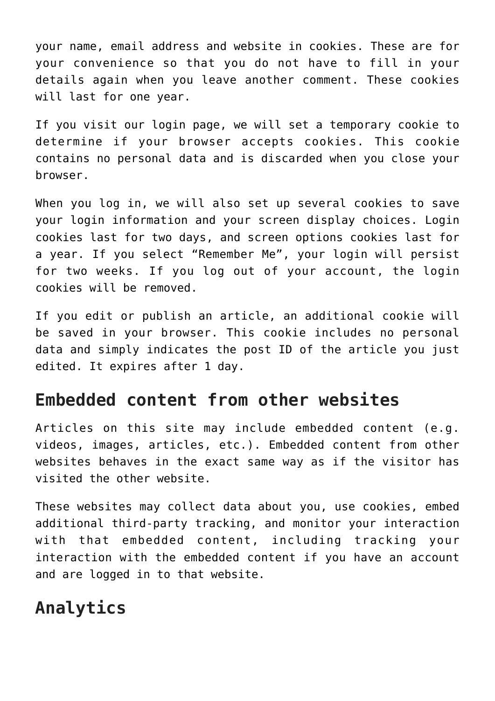your name, email address and website in cookies. These are for your convenience so that you do not have to fill in your details again when you leave another comment. These cookies will last for one year.

If you visit our login page, we will set a temporary cookie to determine if your browser accepts cookies. This cookie contains no personal data and is discarded when you close your browser.

When you log in, we will also set up several cookies to save your login information and your screen display choices. Login cookies last for two days, and screen options cookies last for a year. If you select "Remember Me", your login will persist for two weeks. If you log out of your account, the login cookies will be removed.

If you edit or publish an article, an additional cookie will be saved in your browser. This cookie includes no personal data and simply indicates the post ID of the article you just edited. It expires after 1 day.

#### **Embedded content from other websites**

Articles on this site may include embedded content (e.g. videos, images, articles, etc.). Embedded content from other websites behaves in the exact same way as if the visitor has visited the other website.

These websites may collect data about you, use cookies, embed additional third-party tracking, and monitor your interaction with that embedded content, including tracking your interaction with the embedded content if you have an account and are logged in to that website.

#### **Analytics**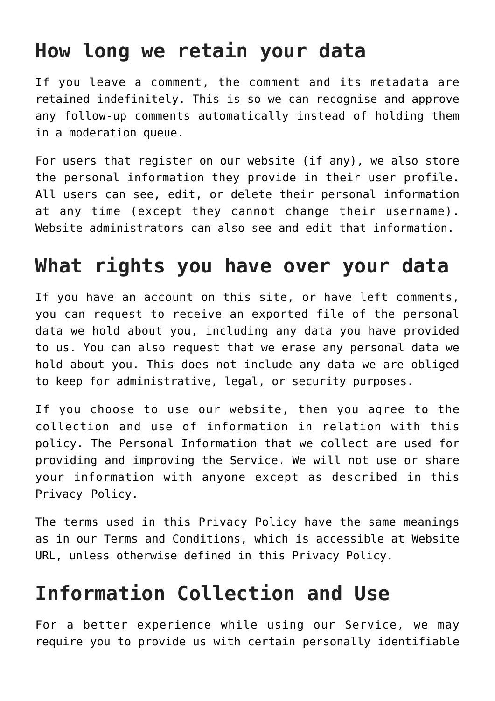### **How long we retain your data**

If you leave a comment, the comment and its metadata are retained indefinitely. This is so we can recognise and approve any follow-up comments automatically instead of holding them in a moderation queue.

For users that register on our website (if any), we also store the personal information they provide in their user profile. All users can see, edit, or delete their personal information at any time (except they cannot change their username). Website administrators can also see and edit that information.

### **What rights you have over your data**

If you have an account on this site, or have left comments, you can request to receive an exported file of the personal data we hold about you, including any data you have provided to us. You can also request that we erase any personal data we hold about you. This does not include any data we are obliged to keep for administrative, legal, or security purposes.

If you choose to use our website, then you agree to the collection and use of information in relation with this policy. The Personal Information that we collect are used for providing and improving the Service. We will not use or share your information with anyone except as described in this Privacy Policy.

The terms used in this Privacy Policy have the same meanings as in our Terms and Conditions, which is accessible at Website URL, unless otherwise defined in this Privacy Policy.

### **Information Collection and Use**

For a better experience while using our Service, we may require you to provide us with certain personally identifiable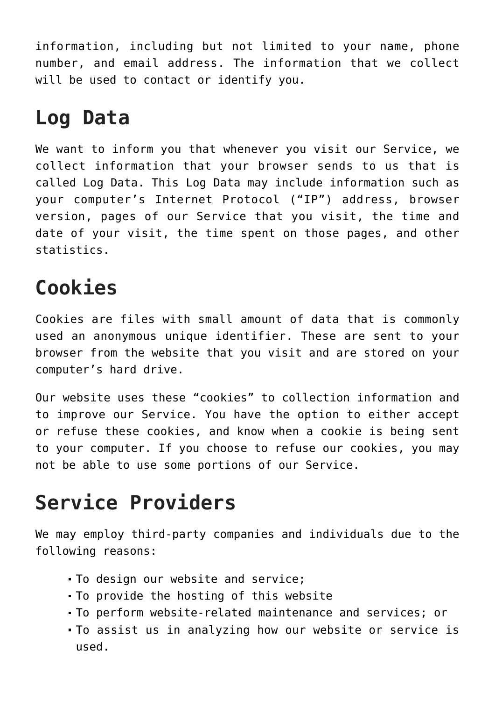information, including but not limited to your name, phone number, and email address. The information that we collect will be used to contact or identify you.

### **Log Data**

We want to inform you that whenever you visit our Service, we collect information that your browser sends to us that is called Log Data. This Log Data may include information such as your computer's Internet Protocol ("IP") address, browser version, pages of our Service that you visit, the time and date of your visit, the time spent on those pages, and other statistics.

# **Cookies**

Cookies are files with small amount of data that is commonly used an anonymous unique identifier. These are sent to your browser from the website that you visit and are stored on your computer's hard drive.

Our website uses these "cookies" to collection information and to improve our Service. You have the option to either accept or refuse these cookies, and know when a cookie is being sent to your computer. If you choose to refuse our cookies, you may not be able to use some portions of our Service.

# **Service Providers**

We may employ third-party companies and individuals due to the following reasons:

- To design our website and service;
- To provide the hosting of this website
- To perform website-related maintenance and services; or
- To assist us in analyzing how our website or service is used.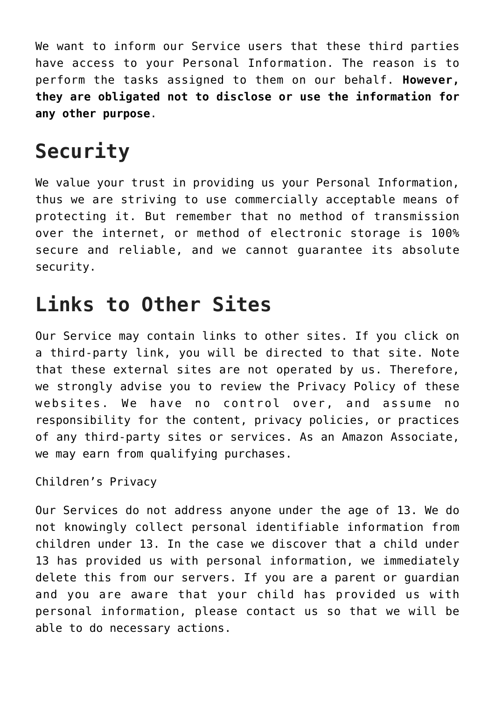We want to inform our Service users that these third parties have access to your Personal Information. The reason is to perform the tasks assigned to them on our behalf. **However, they are obligated not to disclose or use the information for any other purpose**.

# **Security**

We value your trust in providing us your Personal Information, thus we are striving to use commercially acceptable means of protecting it. But remember that no method of transmission over the internet, or method of electronic storage is 100% secure and reliable, and we cannot guarantee its absolute security.

### **Links to Other Sites**

Our Service may contain links to other sites. If you click on a third-party link, you will be directed to that site. Note that these external sites are not operated by us. Therefore, we strongly advise you to review the Privacy Policy of these websites. We have no control over, and assume no responsibility for the content, privacy policies, or practices of any third-party sites or services. As an Amazon Associate, we may earn from qualifying purchases.

Children's Privacy

Our Services do not address anyone under the age of 13. We do not knowingly collect personal identifiable information from children under 13. In the case we discover that a child under 13 has provided us with personal information, we immediately delete this from our servers. If you are a parent or guardian and you are aware that your child has provided us with personal information, please contact us so that we will be able to do necessary actions.